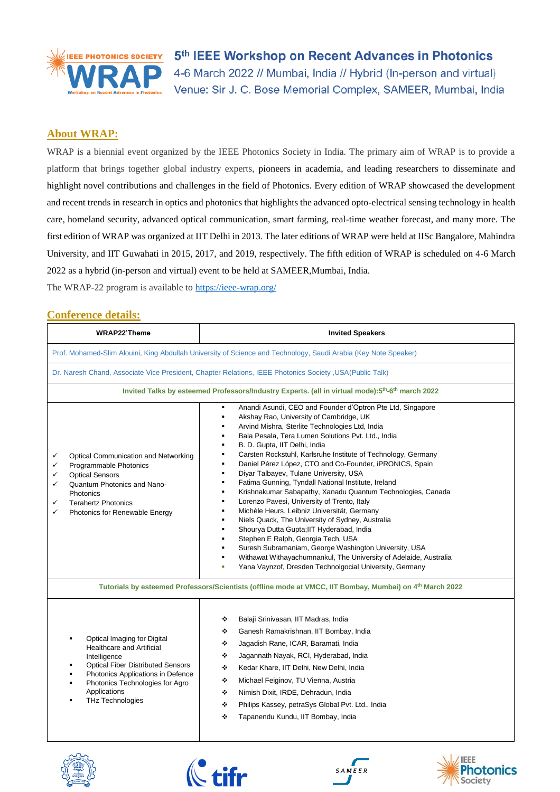

5<sup>th</sup> IEEE Workshop on Recent Advances in Photonics 4-6 March 2022 // Mumbai, India // Hybrid (In-person and virtual) Venue: Sir J. C. Bose Memorial Complex, SAMEER, Mumbai, India

### **About WRAP:**

WRAP is a biennial event organized by the IEEE Photonics Society in India. The primary aim of WRAP is to provide a platform that brings together global industry experts, pioneers in academia, and leading researchers to disseminate and highlight novel contributions and challenges in the field of Photonics. Every edition of WRAP showcased the development and recent trends in research in optics and photonics that highlights the advanced opto-electrical sensing technology in health care, homeland security, advanced optical communication, smart farming, real-time weather forecast, and many more. The first edition of WRAP was organized at IIT Delhi in 2013. The later editions of WRAP were held at IISc Bangalore, Mahindra University, and IIT Guwahati in 2015, 2017, and 2019, respectively. The fifth edition of WRAP is scheduled on 4-6 March 2022 as a hybrid (in-person and virtual) event to be held at SAMEER,Mumbai, India.

The WRAP-22 program is available to<https://ieee-wrap.org/>

#### **Conference details:**

| <b>WRAP22'Theme</b>                                                                                                                                                                                                                     | <b>Invited Speakers</b>                                                                                                                                                                                                                                                                                                                                                                                                                                                                                                                                                                                                                                                                                                                                                                                                                                                                                                                                                                                                                                                                                                                                                                                                  |  |  |  |  |  |
|-----------------------------------------------------------------------------------------------------------------------------------------------------------------------------------------------------------------------------------------|--------------------------------------------------------------------------------------------------------------------------------------------------------------------------------------------------------------------------------------------------------------------------------------------------------------------------------------------------------------------------------------------------------------------------------------------------------------------------------------------------------------------------------------------------------------------------------------------------------------------------------------------------------------------------------------------------------------------------------------------------------------------------------------------------------------------------------------------------------------------------------------------------------------------------------------------------------------------------------------------------------------------------------------------------------------------------------------------------------------------------------------------------------------------------------------------------------------------------|--|--|--|--|--|
| Prof. Mohamed-Slim Alouini, King Abdullah University of Science and Technology, Saudi Arabia (Key Note Speaker)                                                                                                                         |                                                                                                                                                                                                                                                                                                                                                                                                                                                                                                                                                                                                                                                                                                                                                                                                                                                                                                                                                                                                                                                                                                                                                                                                                          |  |  |  |  |  |
| Dr. Naresh Chand, Associate Vice President, Chapter Relations, IEEE Photonics Society , USA(Public Talk)                                                                                                                                |                                                                                                                                                                                                                                                                                                                                                                                                                                                                                                                                                                                                                                                                                                                                                                                                                                                                                                                                                                                                                                                                                                                                                                                                                          |  |  |  |  |  |
| Invited Talks by esteemed Professors/Industry Experts. (all in virtual mode):5th-6th march 2022                                                                                                                                         |                                                                                                                                                                                                                                                                                                                                                                                                                                                                                                                                                                                                                                                                                                                                                                                                                                                                                                                                                                                                                                                                                                                                                                                                                          |  |  |  |  |  |
| Optical Communication and Networking<br>✓<br>Programmable Photonics<br>✓<br><b>Optical Sensors</b><br>✓<br>Quantum Photonics and Nano-<br>✓<br>Photonics<br><b>Terahertz Photonics</b><br>✓<br>Photonics for Renewable Energy<br>✓      | Anandi Asundi, CEO and Founder d'Optron Pte Ltd, Singapore<br>Akshay Rao, University of Cambridge, UK<br>$\blacksquare$<br>Arvind Mishra, Sterlite Technologies Ltd, India<br>$\blacksquare$<br>Bala Pesala, Tera Lumen Solutions Pvt. Ltd., India<br>B. D. Gupta, IIT Delhi, India<br>$\blacksquare$<br>Carsten Rockstuhl, Karlsruhe Institute of Technology, Germany<br>$\blacksquare$<br>Daniel Pérez López, CTO and Co-Founder, iPRONICS, Spain<br>$\blacksquare$<br>Diyar Talbayev, Tulane University, USA<br>$\blacksquare$<br>Fatima Gunning, Tyndall National Institute, Ireland<br>$\blacksquare$<br>Krishnakumar Sabapathy, Xanadu Quantum Technologies, Canada<br>$\blacksquare$<br>Lorenzo Pavesi, University of Trento, Italy<br>٠<br>Michèle Heurs, Leibniz Universität, Germany<br>$\blacksquare$<br>Niels Quack, The University of Sydney, Australia<br>$\blacksquare$<br>Shourya Dutta Gupta; IIT Hyderabad, India<br>$\blacksquare$<br>Stephen E Ralph, Georgia Tech, USA<br>$\blacksquare$<br>Suresh Subramaniam, George Washington University, USA<br>Withawat Withayachumnankul, The University of Adelaide, Australia<br>$\blacksquare$<br>Yana Vaynzof, Dresden Technolgocial University, Germany |  |  |  |  |  |
| Tutorials by esteemed Professors/Scientists (offline mode at VMCC, IIT Bombay, Mumbai) on 4 <sup>th</sup> March 2022                                                                                                                    |                                                                                                                                                                                                                                                                                                                                                                                                                                                                                                                                                                                                                                                                                                                                                                                                                                                                                                                                                                                                                                                                                                                                                                                                                          |  |  |  |  |  |
| Optical Imaging for Digital<br>Healthcare and Artificial<br>Intelligence<br><b>Optical Fiber Distributed Sensors</b><br>Photonics Applications in Defence<br>Photonics Technologies for Agro<br>Applications<br><b>THz Technologies</b> | Balaji Srinivasan, IIT Madras, India<br>❖<br>Ganesh Ramakrishnan, IIT Bombay, India<br>❖<br>Jagadish Rane, ICAR, Baramati, India<br>❖<br>Jagannath Nayak, RCI, Hyderabad, India<br>٠<br>٠<br>Kedar Khare, IIT Delhi, New Delhi, India<br>٠<br>Michael Feiginov, TU Vienna, Austria<br>❖<br>Nimish Dixit, IRDE, Dehradun, India<br>٠<br>Philips Kassey, petraSys Global Pvt. Ltd., India<br>Tapanendu Kundu, IIT Bombay, India<br>❖                                                                                                                                                                                                                                                                                                                                                                                                                                                                                                                                                                                                                                                                                                                                                                                       |  |  |  |  |  |